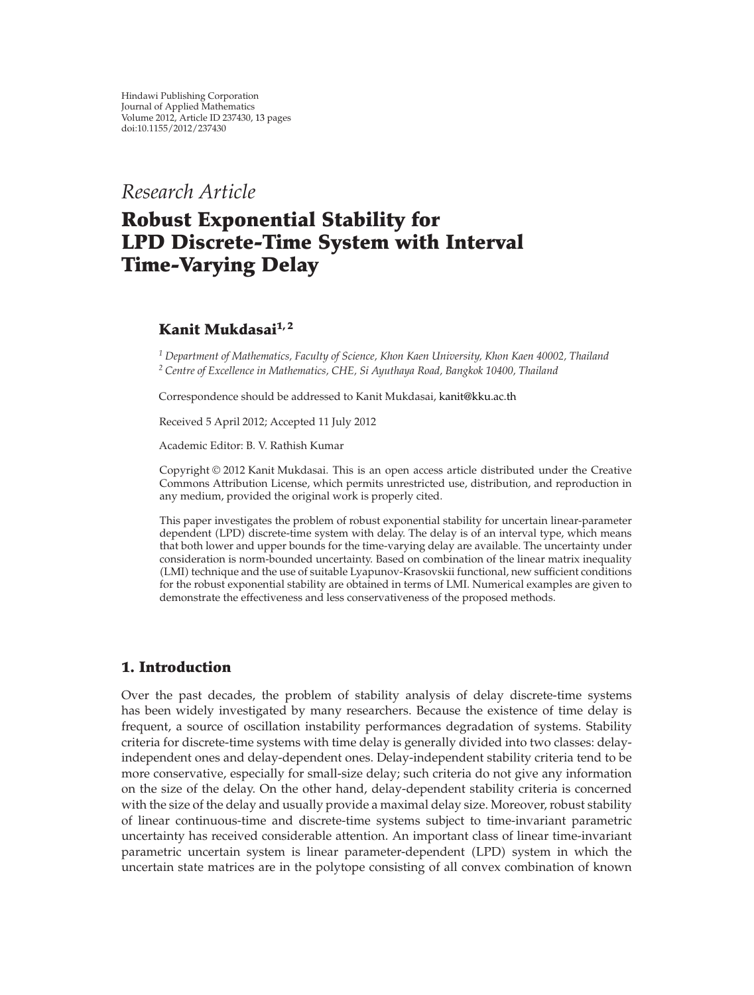*Research Article*

# **Robust Exponential Stability for LPD Discrete-Time System with Interval Time-Varying Delay**

# **Kanit Mukdasai1, 2**

*<sup>1</sup> Department of Mathematics, Faculty of Science, Khon Kaen University, Khon Kaen 40002, Thailand <sup>2</sup> Centre of Excellence in Mathematics, CHE, Si Ayuthaya Road, Bangkok 10400, Thailand*

Correspondence should be addressed to Kanit Mukdasai, kanit@kku.ac.th

Received 5 April 2012; Accepted 11 July 2012

Academic Editor: B. V. Rathish Kumar

Copyright © 2012 Kanit Mukdasai. This is an open access article distributed under the Creative Commons Attribution License, which permits unrestricted use, distribution, and reproduction in any medium, provided the original work is properly cited.

This paper investigates the problem of robust exponential stability for uncertain linear-parameter dependent (LPD) discrete-time system with delay. The delay is of an interval type, which means that both lower and upper bounds for the time-varying delay are available. The uncertainty under consideration is norm-bounded uncertainty. Based on combination of the linear matrix inequality (LMI) technique and the use of suitable Lyapunov-Krasovskii functional, new sufficient conditions for the robust exponential stability are obtained in terms of LMI. Numerical examples are given to demonstrate the effectiveness and less conservativeness of the proposed methods.

## **1. Introduction**

Over the past decades, the problem of stability analysis of delay discrete-time systems has been widely investigated by many researchers. Because the existence of time delay is frequent, a source of oscillation instability performances degradation of systems. Stability criteria for discrete-time systems with time delay is generally divided into two classes: delayindependent ones and delay-dependent ones. Delay-independent stability criteria tend to be more conservative, especially for small-size delay; such criteria do not give any information on the size of the delay. On the other hand, delay-dependent stability criteria is concerned with the size of the delay and usually provide a maximal delay size. Moreover, robust stability of linear continuous-time and discrete-time systems subject to time-invariant parametric uncertainty has received considerable attention. An important class of linear time-invariant parametric uncertain system is linear parameter-dependent (LPD) system in which the uncertain state matrices are in the polytope consisting of all convex combination of known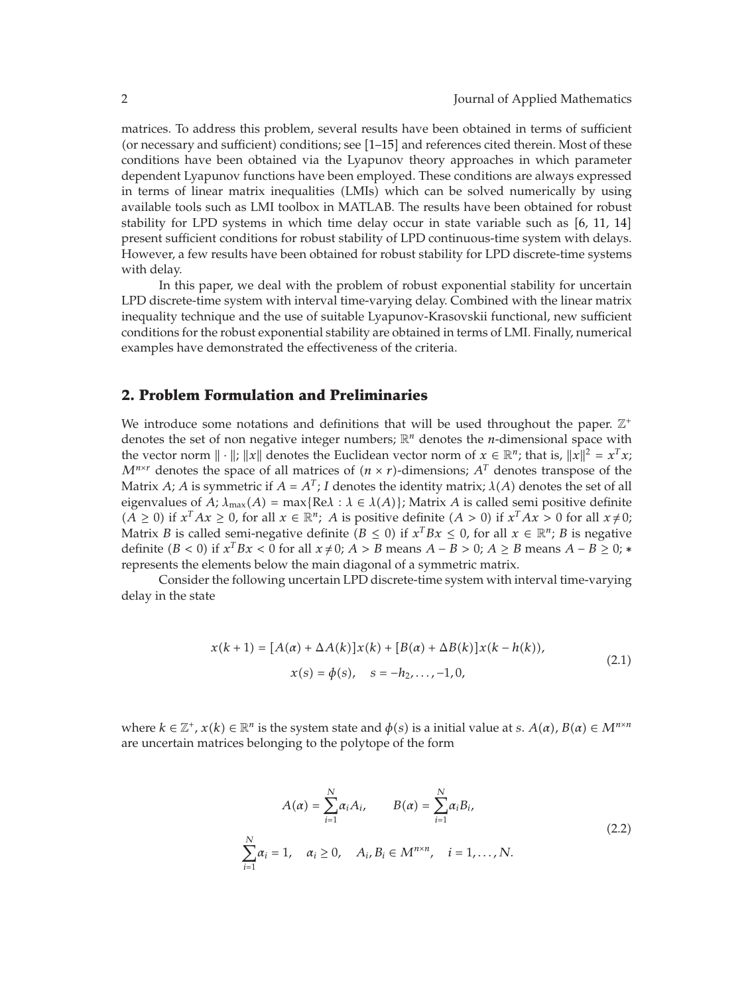matrices. To address this problem, several results have been obtained in terms of sufficient (or necessary and sufficient) conditions; see [1-15] and references cited therein. Most of these conditions have been obtained via the Lyapunov theory approaches in which parameter dependent Lyapunov functions have been employed. These conditions are always expressed in terms of linear matrix inequalities (LMIs) which can be solved numerically by using available tools such as LMI toolbox in MATLAB. The results have been obtained for robust stability for LPD systems in which time delay occur in state variable such as  $[6, 11, 14]$ present sufficient conditions for robust stability of LPD continuous-time system with delays. However, a few results have been obtained for robust stability for LPD discrete-time systems with delay.

In this paper, we deal with the problem of robust exponential stability for uncertain LPD discrete-time system with interval time-varying delay. Combined with the linear matrix inequality technique and the use of suitable Lyapunov-Krasovskii functional, new sufficient conditions for the robust exponential stability are obtained in terms of LMI. Finally, numerical examples have demonstrated the effectiveness of the criteria.

### **2. Problem Formulation and Preliminaries**

We introduce some notations and definitions that will be used throughout the paper.  $\mathbb{Z}^+$ denotes the set of non negative integer numbers; R*<sup>n</sup>* denotes the *n*-dimensional space with the vector norm  $\|\cdot\|$ ;  $\|x\|$  denotes the Euclidean vector norm of  $x \in \mathbb{R}^n$ ; that is,  $\|x\|^2 = x^T x$ ;  $M^{n \times r}$  denotes the space of all matrices of  $(n \times r)$ -dimensions;  $A<sup>T</sup>$  denotes transpose of the Matrix *A*; *A* is symmetric if  $A = A^T$ ; *I* denotes the identity matrix;  $\lambda(A)$  denotes the set of all eigenvalues of *A*;  $\lambda_{\max}(A) = \max\{ \text{Re}\lambda : \lambda \in \lambda(A) \}$ ; Matrix *A* is called semi positive definite  $(A \ge 0)$  if  $x^T Ax \ge 0$ , for all  $x \in \mathbb{R}^n$ ; *A* is positive definite  $(A > 0)$  if  $x^T Ax > 0$  for all  $x \ne 0$ ; Matrix *B* is called semi-negative definite  $(B \le 0)$  if  $x^T Bx \le 0$ , for all  $x \in \mathbb{R}^n$ ; *B* is negative definite  $(B < 0)$  if  $x^T Bx < 0$  for all  $x \neq 0$ ; *A* > *B* means *A* − *B* > 0; *A* ≥ *B* means *A* − *B* ≥ 0; \* represents the elements below the main diagonal of a symmetric matrix.

Consider the following uncertain LPD discrete-time system with interval time-varying delay in the state

$$
x(k+1) = [A(\alpha) + \Delta A(k)]x(k) + [B(\alpha) + \Delta B(k)]x(k - h(k)),
$$
  
\n
$$
x(s) = \phi(s), \quad s = -h_2, ..., -1, 0,
$$
\n(2.1)

where  $k \in \mathbb{Z}^+, x(k) \in \mathbb{R}^n$  is the system state and  $\phi(s)$  is a initial value at *s*.  $A(\alpha), B(\alpha) \in M^{n \times n}$ are uncertain matrices belonging to the polytope of the form

$$
A(\alpha) = \sum_{i=1}^{N} \alpha_i A_i, \qquad B(\alpha) = \sum_{i=1}^{N} \alpha_i B_i,
$$
  

$$
\sum_{i=1}^{N} \alpha_i = 1, \quad \alpha_i \ge 0, \quad A_i, B_i \in M^{n \times n}, \quad i = 1, ..., N.
$$
 (2.2)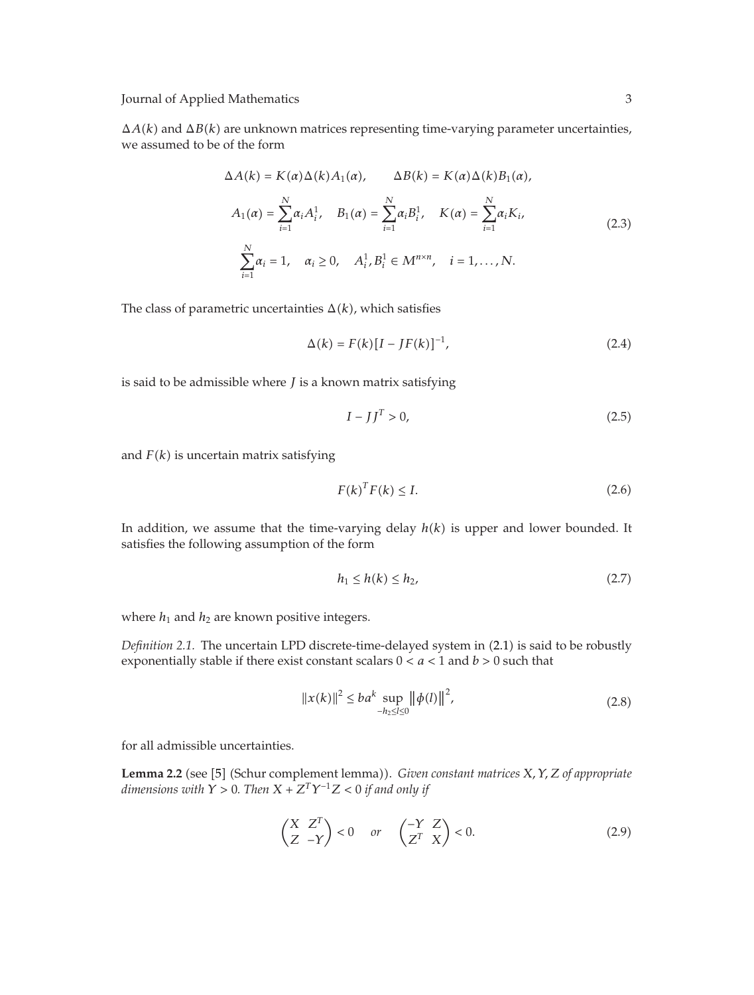$\Delta A(k)$  and  $\Delta B(k)$  are unknown matrices representing time-varying parameter uncertainties, we assumed to be of the form

$$
\Delta A(k) = K(\alpha) \Delta(k) A_1(\alpha), \qquad \Delta B(k) = K(\alpha) \Delta(k) B_1(\alpha),
$$
  
\n
$$
A_1(\alpha) = \sum_{i=1}^{N} \alpha_i A_i^1, \quad B_1(\alpha) = \sum_{i=1}^{N} \alpha_i B_i^1, \quad K(\alpha) = \sum_{i=1}^{N} \alpha_i K_i,
$$
  
\n
$$
\sum_{i=1}^{N} \alpha_i = 1, \quad \alpha_i \ge 0, \quad A_i^1, B_i^1 \in M^{n \times n}, \quad i = 1, ..., N.
$$
  
\n(2.3)

The class of parametric uncertainties  $\Delta(k)$ , which satisfies

$$
\Delta(k) = F(k)[I - JF(k)]^{-1},
$$
\n(2.4)

is said to be admissible where *J* is a known matrix satisfying

$$
I - JJ^T > 0,\t\t(2.5)
$$

and  $F(k)$  is uncertain matrix satisfying

$$
F(k)^T F(k) \le I. \tag{2.6}
$$

In addition, we assume that the time-varying delay  $h(k)$  is upper and lower bounded. It satisfies the following assumption of the form

$$
h_1 \le h(k) \le h_2,\tag{2.7}
$$

where  $h_1$  and  $h_2$  are known positive integers.

Definition 2.1. The uncertain LPD discrete-time-delayed system in (2.1) is said to be robustly exponentially stable if there exist constant scalars  $0 < a < 1$  and  $b > 0$  such that

$$
||x(k)||^2 \le ba^k \sup_{-h_2 \le l \le 0} ||\phi(l)||^2,
$$
\n(2.8)

for all admissible uncertainties.

**Lemma 2.2** (see [5] (Schur complement lemma)). *Given constant matrices X, Y, Z of appropriate*<br>dimensions with  $Y > 0$ . Then  $X + Z^T Y^{-1} Z \le 0$  if and only if *dimensions with*  $\hat{Y} > 0$ *. Then*  $X + Z^T Y^{-1} Z < 0$  *if and only if* 

$$
\begin{pmatrix} X & Z^T \\ Z & -Y \end{pmatrix} < 0 \quad \text{or} \quad \begin{pmatrix} -Y & Z \\ Z^T & X \end{pmatrix} < 0. \tag{2.9}
$$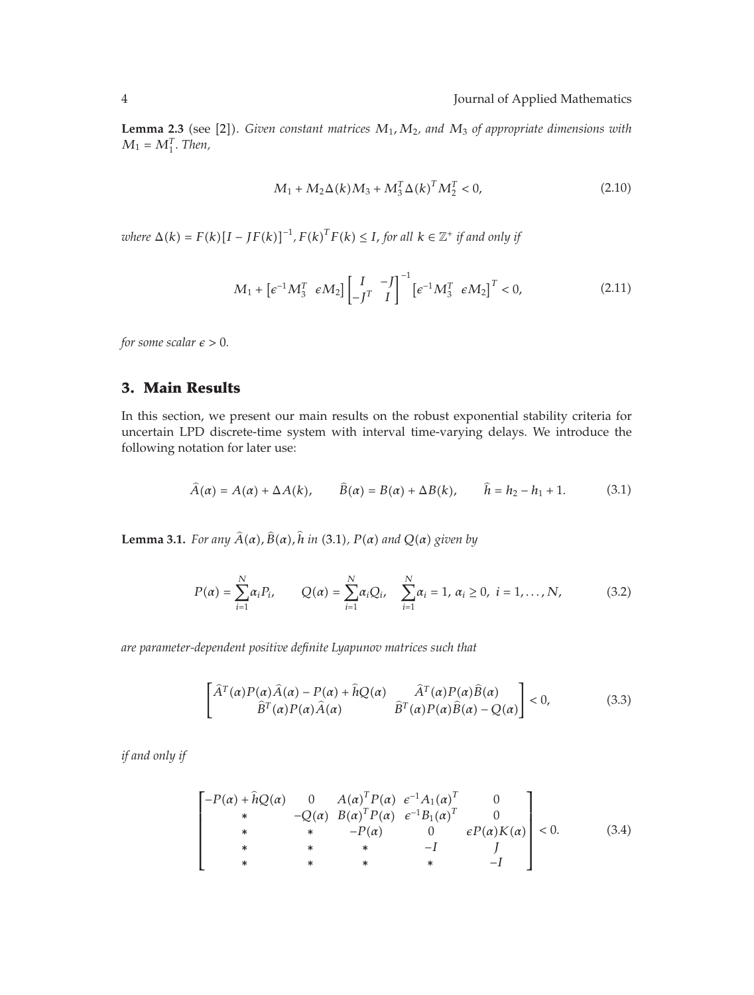**Lemma 2.3** (see [2]). Given constant matrices  $M_1$ ,  $M_2$ , and  $M_3$  of appropriate dimensions with  $M_4 = M_4^T$ . Then  $M_1 = M_1^T$ *. Then,* 

$$
M_1 + M_2 \Delta(k) M_3 + M_3^T \Delta(k)^T M_2^T < 0,
$$
\n(2.10)

 $w$ *here*  $\Delta(k) = F(k)[I - JF(k)]^{-1}$ ,  $F(k)^T F(k) \leq I$ , for all  $k \in \mathbb{Z}^+$  if and only if

$$
M_1 + \left[ \epsilon^{-1} M_3^T \epsilon M_2 \right] \begin{bmatrix} I & -J \\ -J^T & I \end{bmatrix}^{-1} \left[ \epsilon^{-1} M_3^T \epsilon M_2 \right]^T < 0, \tag{2.11}
$$

*for some scalar*  $\epsilon > 0$ *.* 

## **3. Main Results**

 $\overline{a}$ 

In this section, we present our main results on the robust exponential stability criteria for uncertain LPD discrete-time system with interval time-varying delays. We introduce the following notation for later use:

$$
\widehat{A}(\alpha) = A(\alpha) + \Delta A(k), \qquad \widehat{B}(\alpha) = B(\alpha) + \Delta B(k), \qquad \widehat{h} = h_2 - h_1 + 1. \tag{3.1}
$$

**Lemma 3.1.** For any  $A(\alpha)$ ,  $B(\alpha)$ , h in (3.1),  $P(\alpha)$  and  $Q(\alpha)$  given by

$$
P(\alpha) = \sum_{i=1}^{N} \alpha_i P_i, \qquad Q(\alpha) = \sum_{i=1}^{N} \alpha_i Q_i, \quad \sum_{i=1}^{N} \alpha_i = 1, \, \alpha_i \geq 0, \, i = 1, \ldots, N,
$$
 (3.2)

*are parameter-dependent positive definite Lyapunov matrices such that*

$$
\begin{bmatrix}\n\widehat{A}^{T}(\alpha)P(\alpha)\widehat{A}(\alpha) - P(\alpha) + \widehat{h}Q(\alpha) & \widehat{A}^{T}(\alpha)P(\alpha)\widehat{B}(\alpha) \\
\widehat{B}^{T}(\alpha)P(\alpha)\widehat{A}(\alpha) & \widehat{B}^{T}(\alpha)P(\alpha)\widehat{B}(\alpha) - Q(\alpha)\n\end{bmatrix} < 0,\n\tag{3.3}
$$

*if and only if*

$$
\begin{bmatrix}\n-P(\alpha) + \hat{h}Q(\alpha) & 0 & A(\alpha)^{T}P(\alpha) & e^{-1}A_{1}(\alpha)^{T} & 0 \\
\ast & -Q(\alpha) & B(\alpha)^{T}P(\alpha) & e^{-1}B_{1}(\alpha)^{T} & 0 \\
\ast & \ast & -P(\alpha) & 0 & eP(\alpha)K(\alpha) \\
\ast & \ast & \ast & -I & J \\
\ast & \ast & \ast & \ast & -I\n\end{bmatrix} < 0.
$$
\n(3.4)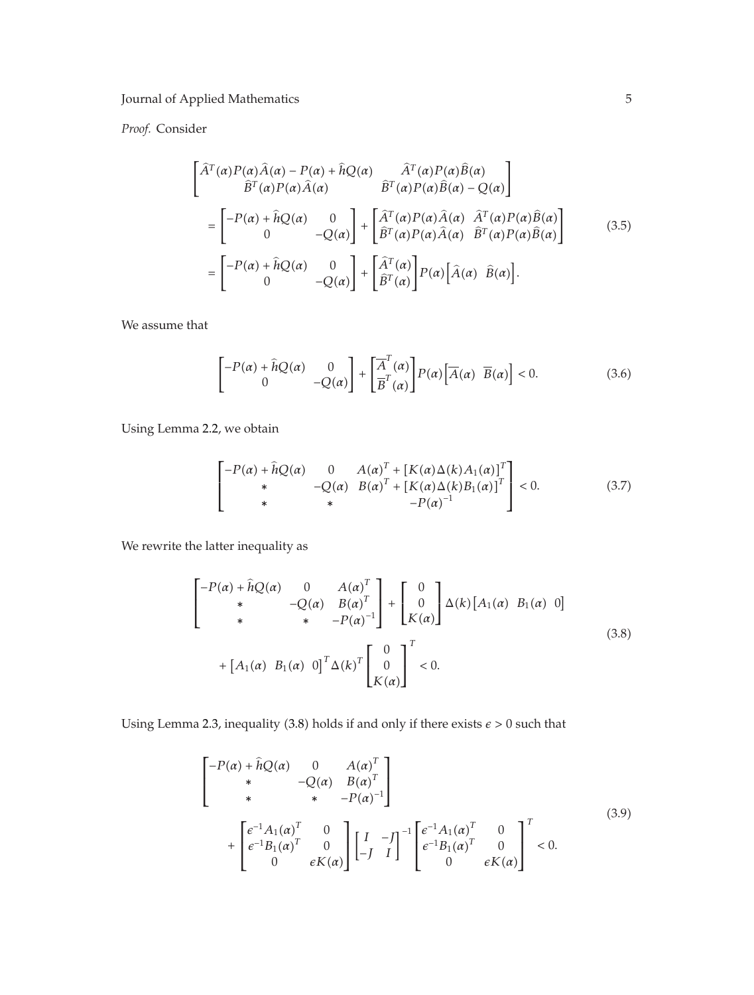*Proof.* Consider

$$
\begin{bmatrix}\n\hat{A}^T(\alpha)P(\alpha)\hat{A}(\alpha) - P(\alpha) + \hat{h}Q(\alpha) & \hat{A}^T(\alpha)P(\alpha)\hat{B}(\alpha) \\
\hat{B}^T(\alpha)P(\alpha)\hat{A}(\alpha) & \hat{B}^T(\alpha)P(\alpha)\hat{B}(\alpha) - Q(\alpha)\n\end{bmatrix}\n= \begin{bmatrix}\n-P(\alpha) + \hat{h}Q(\alpha) & 0 \\
0 & -Q(\alpha)\n\end{bmatrix} + \begin{bmatrix}\n\hat{A}^T(\alpha)P(\alpha)\hat{A}(\alpha) & \hat{A}^T(\alpha)P(\alpha)\hat{B}(\alpha) \\
\hat{B}^T(\alpha)P(\alpha)\hat{A}(\alpha) & \hat{B}^T(\alpha)P(\alpha)\hat{B}(\alpha)\n\end{bmatrix}\n= \begin{bmatrix}\n-P(\alpha) + \hat{h}Q(\alpha) & 0 \\
0 & -Q(\alpha)\n\end{bmatrix} + \begin{bmatrix}\n\hat{A}^T(\alpha) \\
\hat{B}^T(\alpha)\n\end{bmatrix}P(\alpha) \begin{bmatrix}\n\hat{A}(\alpha) & \hat{B}(\alpha)\n\end{bmatrix}.\n(3.5)
$$

We assume that

$$
\begin{bmatrix} -P(\alpha) + \hat{h}Q(\alpha) & 0\\ 0 & -Q(\alpha) \end{bmatrix} + \begin{bmatrix} \overline{A}^T(\alpha) \\ \overline{B}^T(\alpha) \end{bmatrix} P(\alpha) \begin{bmatrix} \overline{A}(\alpha) & \overline{B}(\alpha) \end{bmatrix} < 0.
$$
 (3.6)

Using Lemma 2.2, we obtain

$$
\begin{bmatrix} -P(\alpha) + \hat{h}Q(\alpha) & 0 & A(\alpha)^{T} + [K(\alpha)\Delta(k)A_{1}(\alpha)]^{T} \\ * & -Q(\alpha) & B(\alpha)^{T} + [K(\alpha)\Delta(k)B_{1}(\alpha)]^{T} \\ * & * & -P(\alpha)^{-1} \end{bmatrix} < 0.
$$
 (3.7)

We rewrite the latter inequality as

$$
\begin{bmatrix} -P(\alpha) + \hat{h}Q(\alpha) & 0 & A(\alpha)^{T} \\ * & -Q(\alpha) & B(\alpha)^{T} \\ * & * & -P(\alpha)^{-1} \end{bmatrix} + \begin{bmatrix} 0 \\ 0 \\ K(\alpha) \end{bmatrix} \Delta(k) [A_1(\alpha) B_1(\alpha) 0]
$$
  
+ 
$$
[A_1(\alpha) B_1(\alpha) 0]^T \Delta(k)^T \begin{bmatrix} 0 \\ 0 \\ K(\alpha) \end{bmatrix}^T < 0.
$$
 (3.8)

Using Lemma 2.3, inequality (3.8) holds if and only if there exists  $\epsilon > 0$  such that

$$
\begin{bmatrix}\n-P(\alpha) + \hat{h}Q(\alpha) & 0 & A(\alpha)^{T} \\
* & -Q(\alpha) & B(\alpha)^{T} \\
* & * & -P(\alpha)^{-1}\n\end{bmatrix}\n+ \begin{bmatrix}\n\epsilon^{-1}A_{1}(\alpha)^{T} & 0 \\
\epsilon^{-1}B_{1}(\alpha)^{T} & 0 \\
0 & \epsilon K(\alpha)\n\end{bmatrix}\n\begin{bmatrix}\nI & -J \\
-J & I\n\end{bmatrix}^{-1}\n\begin{bmatrix}\n\epsilon^{-1}A_{1}(\alpha)^{T} & 0 \\
\epsilon^{-1}B_{1}(\alpha)^{T} & 0 \\
0 & \epsilon K(\alpha)\n\end{bmatrix}^{-1} < 0.
$$
\n(3.9)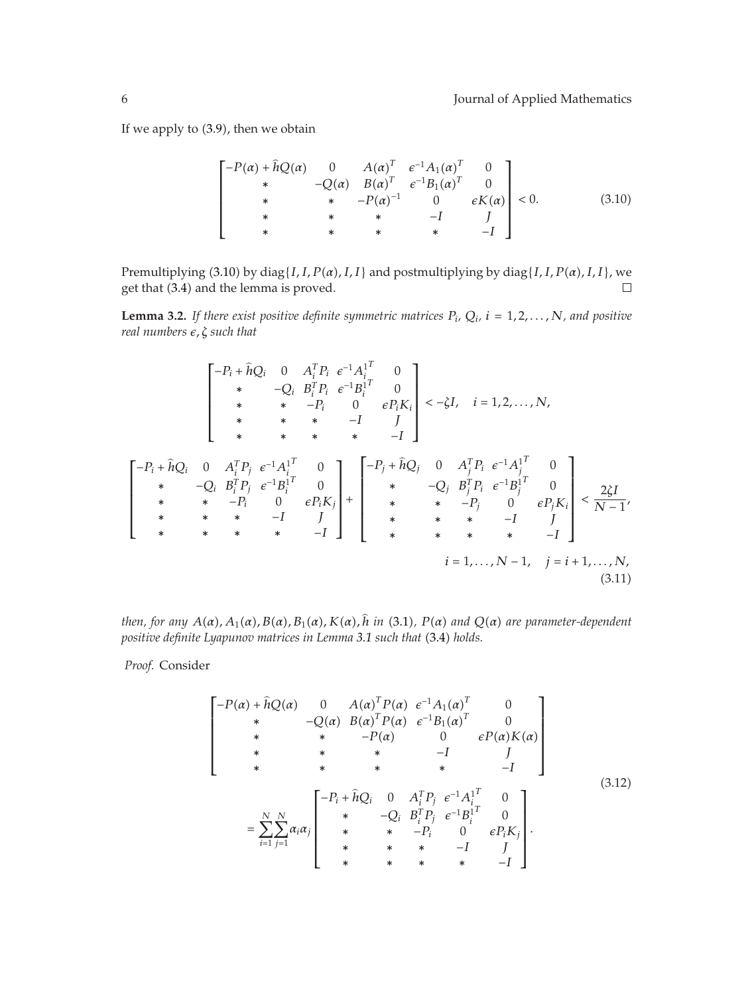If we apply to (3.9), then we obtain

$$
\begin{bmatrix}\n-P(\alpha) + \hat{h}Q(\alpha) & 0 & A(\alpha)^{T} & e^{-1}A_{1}(\alpha)^{T} & 0 \\
* & -Q(\alpha) & B(\alpha)^{T} & e^{-1}B_{1}(\alpha)^{T} & 0 \\
* & * & -P(\alpha)^{-1} & 0 & eK(\alpha) \\
* & * & * & * & -I & J \\
* & * & * & * & -I\n\end{bmatrix} < 0.
$$
\n(3.10)

Premultiplying (3.10) by diag{*I, I, P*( $\alpha$ )*, I, I*} and postmultiplying by diag{*I, I, P*( $\alpha$ )*, I, I*}, we  $\Box$ get that (3.4) and the lemma is proved.

**Lemma 3.2.** If there exist positive definite symmetric matrices  $P_i$ ,  $Q_i$ ,  $i = 1, 2, ..., N$ , and positive *real numbers , ζ such that*

$$
\begin{bmatrix}\n-P_i + \hat{h}Q_i & 0 & A_i^T P_i & e^{-1} A_i^T & 0 \\
& * & -Q_i & B_i^T P_i & e^{-1} B_i^T & 0 \\
& * & * & -P_i & 0 & e P_i K_i \\
& * & * & * & -I & J\n\end{bmatrix} < -\zeta I, \quad i = 1, 2, ..., N,
$$
\n
$$
\begin{bmatrix}\n-P_i + \hat{h}Q_i & 0 & A_i^T P_j & e^{-1} A_i^T & 0 \\
& * & * & * & -I & J\n\end{bmatrix}
$$
\n
$$
\begin{bmatrix}\n-P_i + \hat{h}Q_i & 0 & A_i^T P_j & e^{-1} A_i^T & 0 \\
& * & -Q_i & B_i^T P_j & e^{-1} B_i^T & 0 \\
& * & * & -P_i & 0 & e P_i K_j \\
& * & * & * & -I & J\n\end{bmatrix} + \begin{bmatrix}\n-P_j + \hat{h}Q_j & 0 & A_j^T P_i & e^{-1} A_j^T & 0 \\
& * & -Q_j & B_j^T P_i & e^{-1} B_j^T & 0 \\
& * & * & * & -P_j & 0 & e P_j K_i \\
& * & * & * & -I & J\n\end{bmatrix} < \frac{2\zeta I}{N-1},
$$
\n
$$
i = 1, ..., N-1, \quad j = i + 1, ..., N,
$$
\n(3.11)

then, for any  $A(\alpha)$ ,  $A_1(\alpha)$ ,  $B(\alpha)$ ,  $B_1(\alpha)$ ,  $K(\alpha)$ , h in (3.1),  $P(\alpha)$  and  $Q(\alpha)$  are parameter-dependent *positive definite Lyapunov matrices in Lemma 3.1 such that* -3.4 *holds.*

*Proof.* Consider

$$
\begin{bmatrix}\n-P(\alpha) + \hat{h}Q(\alpha) & 0 & A(\alpha)^{T}P(\alpha) & e^{-1}A_{1}(\alpha)^{T} & 0 \\
* & -Q(\alpha) & B(\alpha)^{T}P(\alpha) & e^{-1}B_{1}(\alpha)^{T} & 0 \\
* & * & -P(\alpha) & 0 & eP(\alpha)K(\alpha) \\
* & * & * & -I & J \\
* & * & * & * & -I\n\end{bmatrix}
$$
\n
$$
= \sum_{i=1}^{N} \sum_{j=1}^{N} \alpha_{i} \alpha_{j} \begin{bmatrix}\n-P_{i} + \hat{h}Q_{i} & 0 & A_{i}^{T}P_{j} & e^{-1}A_{i}^{T} & 0 \\
* & -Q_{i} & B_{i}^{T}P_{j} & e^{-1}B_{i}^{T} & 0 \\
* & * & -P_{i} & 0 & eP_{i}K_{j} \\
* & * & * & -I & J \\
* & * & * & * & -I\n\end{bmatrix}.
$$
\n(3.12)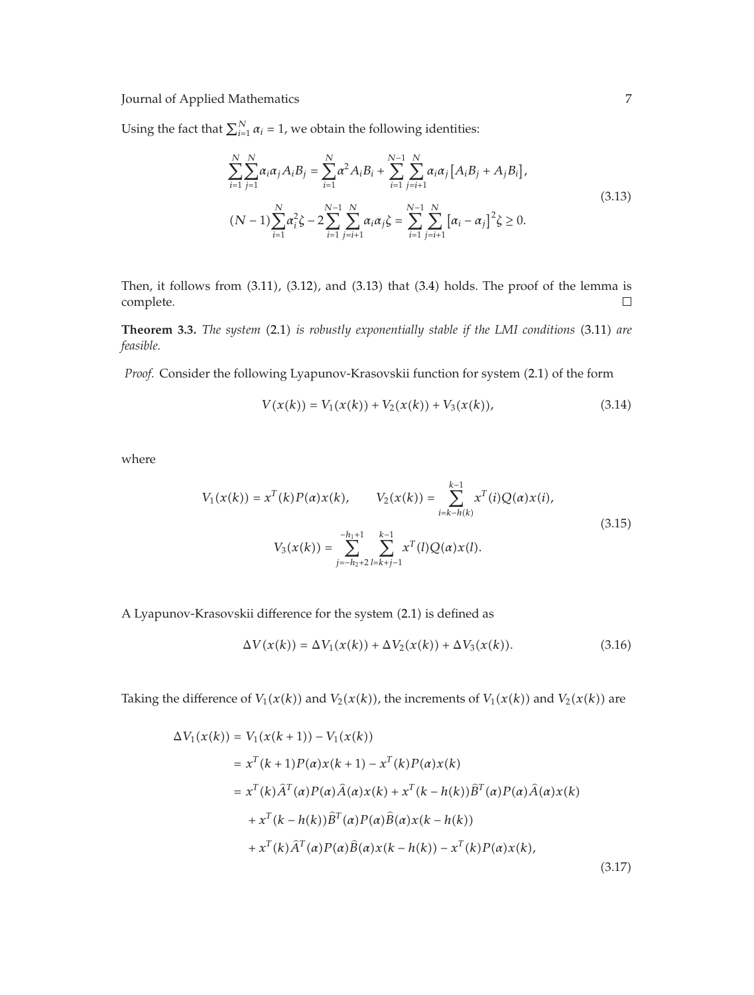Using the fact that  $\sum_{i=1}^{N} \alpha_i = 1$ , we obtain the following identities:

$$
\sum_{i=1}^{N} \sum_{j=1}^{N} \alpha_i \alpha_j A_i B_j = \sum_{i=1}^{N} \alpha^2 A_i B_i + \sum_{i=1}^{N-1} \sum_{j=i+1}^{N} \alpha_i \alpha_j [A_i B_j + A_j B_i],
$$
\n
$$
(N-1) \sum_{i=1}^{N} \alpha_i^2 \zeta - 2 \sum_{i=1}^{N-1} \sum_{j=i+1}^{N} \alpha_i \alpha_j \zeta = \sum_{i=1}^{N-1} \sum_{j=i+1}^{N} [\alpha_i - \alpha_j]^2 \zeta \ge 0.
$$
\n(3.13)

Then, it follows from  $(3.11)$ ,  $(3.12)$ , and  $(3.13)$  that  $(3.4)$  holds. The proof of the lemma is complete.  $\Box$ 

**Theorem 3.3.** The system (2.1) is robustly exponentially stable if the LMI conditions (3.11) are teasible *feasible.*

Proof. Consider the following Lyapunov-Krasovskii function for system (2.1) of the form

$$
V(x(k)) = V_1(x(k)) + V_2(x(k)) + V_3(x(k)),
$$
\n(3.14)

where

$$
V_1(x(k)) = x^T(k)P(\alpha)x(k), \qquad V_2(x(k)) = \sum_{i=k-h(k)}^{k-1} x^T(i)Q(\alpha)x(i),
$$
  

$$
V_3(x(k)) = \sum_{j=-h_2+2}^{-h_1+1} \sum_{l=k+j-1}^{k-1} x^T(l)Q(\alpha)x(l).
$$
 (3.15)

A Lyapunov-Krasovskii difference for the system (2.1) is defined as

$$
\Delta V(x(k)) = \Delta V_1(x(k)) + \Delta V_2(x(k)) + \Delta V_3(x(k)).
$$
\n(3.16)

Taking the difference of  $V_1(x(k))$  and  $V_2(x(k))$ , the increments of  $V_1(x(k))$  and  $V_2(x(k))$  are

$$
\Delta V_1(x(k)) = V_1(x(k+1)) - V_1(x(k))
$$
  
\n
$$
= x^T(k+1)P(\alpha)x(k+1) - x^T(k)P(\alpha)x(k)
$$
  
\n
$$
= x^T(k)\hat{A}^T(\alpha)P(\alpha)\hat{A}(\alpha)x(k) + x^T(k-h(k))\hat{B}^T(\alpha)P(\alpha)\hat{A}(\alpha)x(k)
$$
  
\n
$$
+ x^T(k-h(k))\hat{B}^T(\alpha)P(\alpha)\hat{B}(\alpha)x(k-h(k))
$$
  
\n
$$
+ x^T(k)\hat{A}^T(\alpha)P(\alpha)\hat{B}(\alpha)x(k-h(k)) - x^T(k)P(\alpha)x(k),
$$
  
\n(3.17)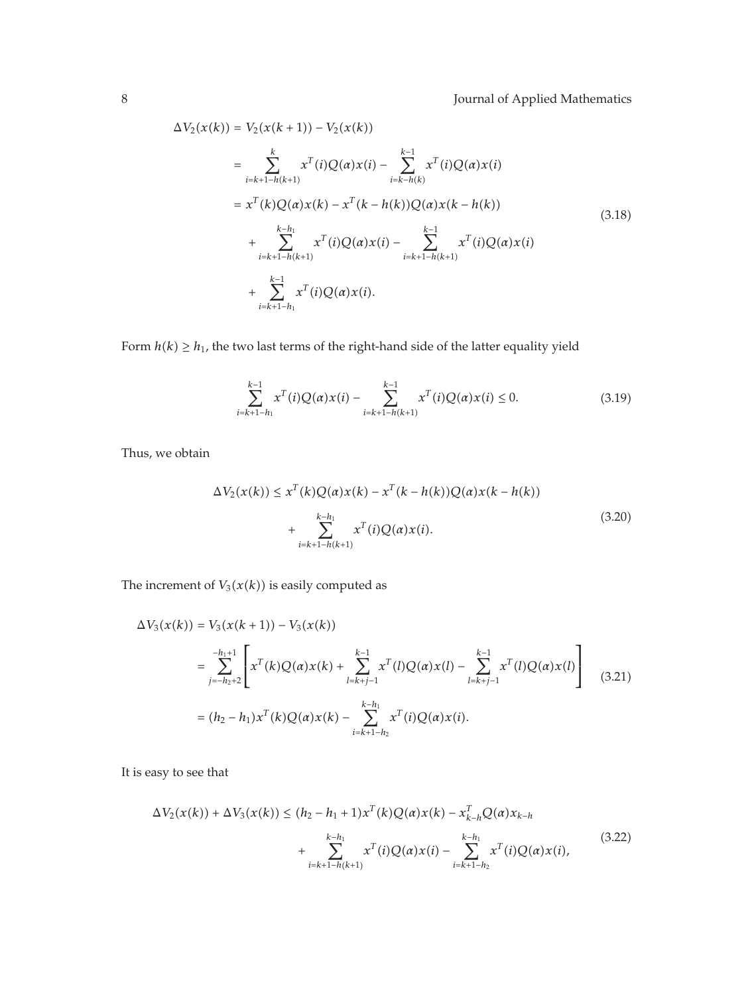$$
\Delta V_2(x(k)) = V_2(x(k+1)) - V_2(x(k))
$$
  
\n
$$
= \sum_{i=k+1-h(k+1)}^{k} x^{T}(i)Q(\alpha)x(i) - \sum_{i=k-h(k)}^{k-1} x^{T}(i)Q(\alpha)x(i)
$$
  
\n
$$
= x^{T}(k)Q(\alpha)x(k) - x^{T}(k-h(k))Q(\alpha)x(k-h(k))
$$
  
\n
$$
+ \sum_{i=k+1-h(k+1)}^{k-h_1} x^{T}(i)Q(\alpha)x(i) - \sum_{i=k+1-h(k+1)}^{k-1} x^{T}(i)Q(\alpha)x(i)
$$
  
\n
$$
+ \sum_{i=k+1-h_1}^{k-1} x^{T}(i)Q(\alpha)x(i).
$$
 (3.18)

Form  $h(k) \geq h_1$ , the two last terms of the right-hand side of the latter equality yield

$$
\sum_{i=k+1-h_1}^{k-1} x^T(i)Q(\alpha)x(i) - \sum_{i=k+1-h(k+1)}^{k-1} x^T(i)Q(\alpha)x(i) \le 0.
$$
 (3.19)

Thus, we obtain

$$
\Delta V_2(x(k)) \le x^T(k)Q(\alpha)x(k) - x^T(k - h(k))Q(\alpha)x(k - h(k)) + \sum_{i=k+1-h(k+1)}^{k-h_1} x^T(i)Q(\alpha)x(i).
$$
\n(3.20)

The increment of  $V_3(x(k))$  is easily computed as

$$
\Delta V_3(x(k)) = V_3(x(k+1)) - V_3(x(k))
$$
  
= 
$$
\sum_{j=-h_2+2}^{-h_1+1} \left[ x^T(k)Q(\alpha)x(k) + \sum_{l=k+j-1}^{k-1} x^T(l)Q(\alpha)x(l) - \sum_{l=k+j-1}^{k-1} x^T(l)Q(\alpha)x(l) \right]
$$
  
= 
$$
(h_2 - h_1)x^T(k)Q(\alpha)x(k) - \sum_{i=k+1-h_2}^{k-h_1} x^T(i)Q(\alpha)x(i).
$$
 (3.21)

It is easy to see that

$$
\Delta V_2(x(k)) + \Delta V_3(x(k)) \le (h_2 - h_1 + 1)x^T(k)Q(\alpha)x(k) - x_{k-h}^TQ(\alpha)x_{k-h} + \sum_{i=k+1-h(k+1)}^{k-h_1} x^T(i)Q(\alpha)x(i) - \sum_{i=k+1-h_2}^{k-h_1} x^T(i)Q(\alpha)x(i),
$$
\n(3.22)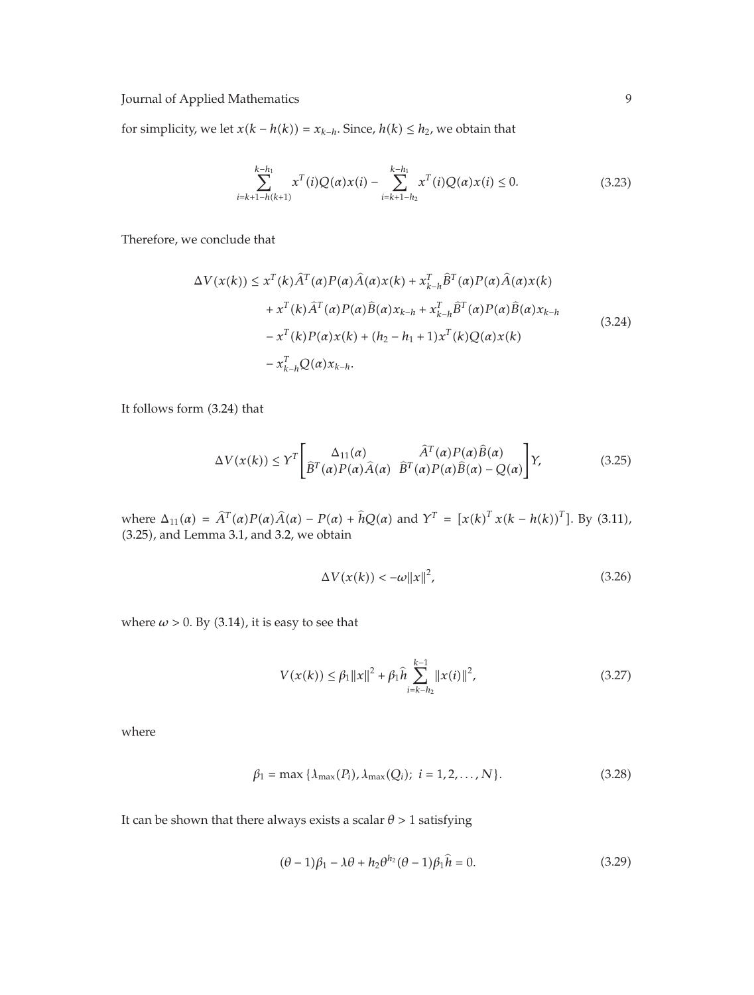for simplicity, we let  $x(k - h(k)) = x_{k-h}$ . Since,  $h(k) \leq h_2$ , we obtain that

$$
\sum_{i=k+1-h(k+1)}^{k-h_1} x^T(i)Q(\alpha)x(i) - \sum_{i=k+1-h_2}^{k-h_1} x^T(i)Q(\alpha)x(i) \le 0.
$$
 (3.23)

Therefore, we conclude that

$$
\Delta V(x(k)) \leq x^{T}(k)\hat{A}^{T}(\alpha)P(\alpha)\hat{A}(\alpha)x(k) + x_{k-h}^{T}\hat{B}^{T}(\alpha)P(\alpha)\hat{A}(\alpha)x(k) \n+ x^{T}(k)\hat{A}^{T}(\alpha)P(\alpha)\hat{B}(\alpha)x_{k-h} + x_{k-h}^{T}\hat{B}^{T}(\alpha)P(\alpha)\hat{B}(\alpha)x_{k-h} \n- x^{T}(k)P(\alpha)x(k) + (h_{2} - h_{1} + 1)x^{T}(k)Q(\alpha)x(k) \n- x_{k-h}^{T}Q(\alpha)x_{k-h}.
$$
\n(3.24)

It follows form (3.24) that

$$
\Delta V(x(k)) \leq Y^{T} \left[ \frac{\Delta_{11}(\alpha)}{\hat{B}^{T}(\alpha)P(\alpha)\hat{A}(\alpha)} \frac{\hat{A}^{T}(\alpha)P(\alpha)\hat{B}(\alpha)}{\hat{B}^{T}(\alpha)P(\alpha)\hat{B}(\alpha) - Q(\alpha)} \right] Y,
$$
(3.25)

where  $\Delta_{11}(\alpha) = \hat{A}^T(\alpha)P(\alpha)\hat{A}(\alpha) - P(\alpha) + \hat{h}Q(\alpha)$  and  $Y^T = [x(k)^T x(k - h(k))^T]$ . By (3.11), -3.25, and Lemma 3.1, and 3.2, we obtain

$$
\Delta V(x(k)) < -\omega \|x\|^2,\tag{3.26}
$$

where  $\omega > 0$ . By  $(3.14)$ , it is easy to see that

$$
V(x(k)) \leq \beta_1 \|x\|^2 + \beta_1 \widehat{h} \sum_{i=k-h_2}^{k-1} \|x(i)\|^2,
$$
\n(3.27)

where

$$
\beta_1 = \max \{ \lambda_{\max}(P_i), \lambda_{\max}(Q_i); \ i = 1, 2, ..., N \}.
$$
 (3.28)

It can be shown that there always exists a scalar  $\theta$  > 1 satisfying

$$
(\theta - 1)\beta_1 - \lambda \theta + h_2 \theta^{h_2} (\theta - 1)\beta_1 \hat{h} = 0.
$$
 (3.29)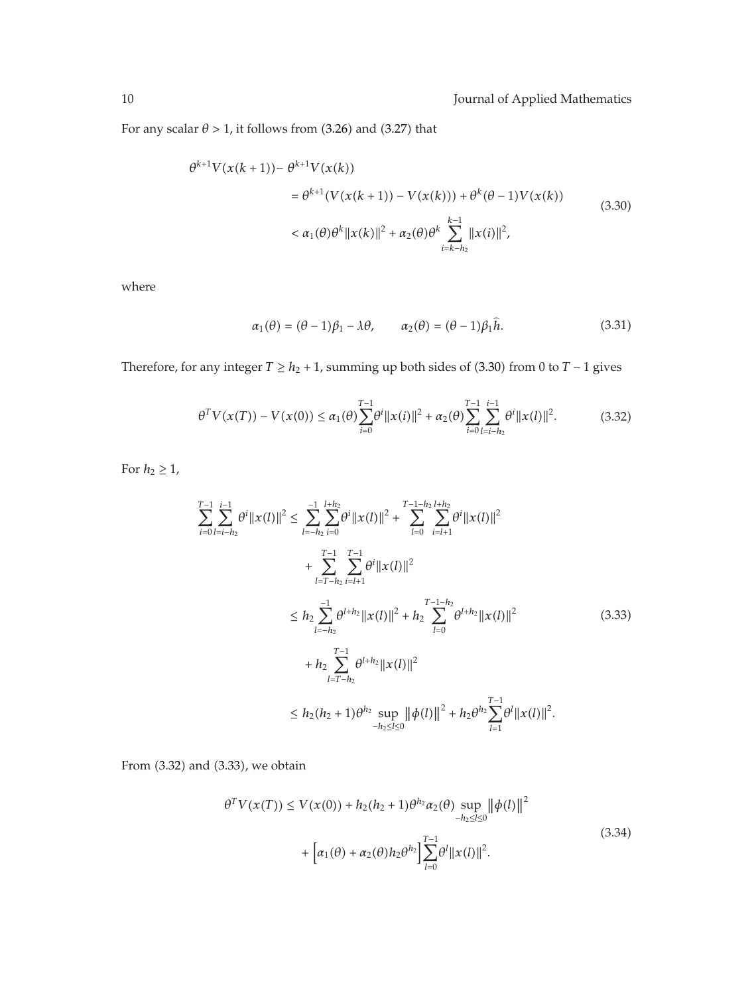For any scalar  $\theta > 1$ , it follows from (3.26) and (3.27) that

$$
\theta^{k+1} V(x(k+1)) - \theta^{k+1} V(x(k))
$$
  
=  $\theta^{k+1} (V(x(k+1)) - V(x(k))) + \theta^k (\theta - 1) V(x(k))$   
 $< \alpha_1(\theta) \theta^k ||x(k)||^2 + \alpha_2(\theta) \theta^k \sum_{i=k-h_2}^{k-1} ||x(i)||^2,$  (3.30)

where

$$
\alpha_1(\theta) = (\theta - 1)\beta_1 - \lambda\theta, \qquad \alpha_2(\theta) = (\theta - 1)\beta_1 \hat{h}.\tag{3.31}
$$

Therefore, for any integer  $T \geq h_2 + 1$ , summing up both sides of (3.30) from 0 to  $T - 1$  gives

$$
\theta^T V(x(T)) - V(x(0)) \le \alpha_1(\theta) \sum_{i=0}^{T-1} \theta^i \|x(i)\|^2 + \alpha_2(\theta) \sum_{i=0}^{T-1} \sum_{l=i-h_2}^{i-1} \theta^i \|x(l)\|^2.
$$
 (3.32)

For  $h_2 \geq 1$ ,

$$
\sum_{i=0}^{T-1} \sum_{l=i-h_2}^{i-1} \theta^i \|x(l)\|^2 \leq \sum_{l=-h_2}^{-1} \sum_{i=0}^{l+h_2} \theta^i \|x(l)\|^2 + \sum_{l=0}^{T-1-h_2} \sum_{i=l+1}^{l+h_2} \theta^i \|x(l)\|^2
$$
  
+ 
$$
\sum_{l=T-h_2}^{T-1} \sum_{i=l+1}^{T-1} \theta^i \|x(l)\|^2
$$
  

$$
\leq h_2 \sum_{l=-h_2}^{-1} \theta^{l+h_2} \|x(l)\|^2 + h_2 \sum_{l=0}^{T-1-h_2} \theta^{l+h_2} \|x(l)\|^2
$$
  
+ 
$$
h_2 \sum_{l=T-h_2}^{T-1} \theta^{l+h_2} \|x(l)\|^2
$$
  

$$
\leq h_2 (h_2 + 1) \theta^{h_2} \sup_{-h_2 \leq l \leq 0} \| \phi(l) \|^2 + h_2 \theta^{h_2} \sum_{l=1}^{T-1} \theta^l \|x(l)\|^2.
$$
 (3.33)

From (3.32) and (3.33), we obtain

$$
\theta^T V(x(T)) \le V(x(0)) + h_2(h_2 + 1)\theta^{h_2} \alpha_2(\theta) \sup_{-h_2 \le l \le 0} ||\phi(l)||^2
$$
  
+ 
$$
\left[ \alpha_1(\theta) + \alpha_2(\theta) h_2 \theta^{h_2} \right] \sum_{l=0}^{T-1} \theta^l ||x(l)||^2.
$$
 (3.34)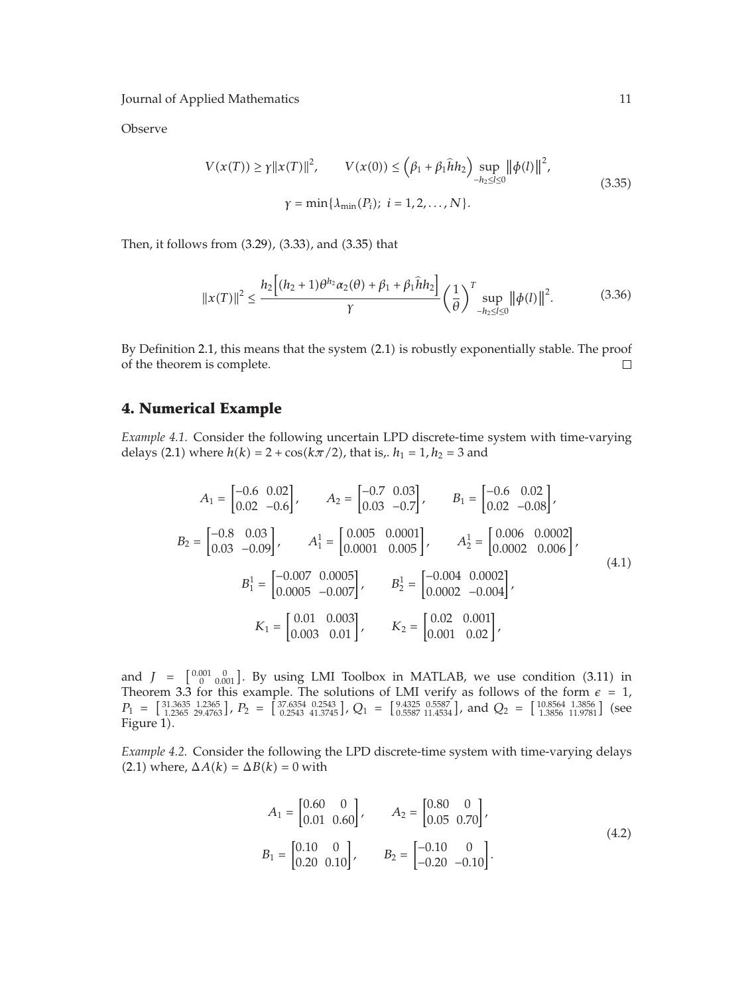Observe

$$
V(x(T)) \ge \gamma ||x(T)||^2, \qquad V(x(0)) \le (\beta_1 + \beta_1 \hat{h} h_2) \sup_{-h_2 \le l \le 0} ||\phi(l)||^2,
$$
  

$$
\gamma = \min\{\lambda_{\min}(P_i); \ i = 1, 2, ..., N\}.
$$
 (3.35)

Then, it follows from (3.29), (3.33), and (3.35) that

$$
||x(T)||^2 \le \frac{h_2 \left[ (h_2 + 1)\theta^{h_2} \alpha_2(\theta) + \beta_1 + \beta_1 \hat{h} h_2 \right]}{\gamma} \left( \frac{1}{\theta} \right)^T \sup_{-h_2 \le l \le 0} ||\phi(l)||^2. \tag{3.36}
$$

By Definition 2.1, this means that the system (2.1) is robustly exponentially stable. The proof of the theorem is complete.  $\Box$ 

## **4. Numerical Example**

*Example 4.1.* Consider the following uncertain LPD discrete-time system with time-varying delays (2.1) where  $h(k) = 2 + \cos(k\pi/2)$ , that is,.  $h_1 = 1$ ,  $h_2 = 3$  and

$$
A_1 = \begin{bmatrix} -0.6 & 0.02 \\ 0.02 & -0.6 \end{bmatrix}, \qquad A_2 = \begin{bmatrix} -0.7 & 0.03 \\ 0.03 & -0.7 \end{bmatrix}, \qquad B_1 = \begin{bmatrix} -0.6 & 0.02 \\ 0.02 & -0.08 \end{bmatrix},
$$
  
\n
$$
B_2 = \begin{bmatrix} -0.8 & 0.03 \\ 0.03 & -0.09 \end{bmatrix}, \qquad A_1^1 = \begin{bmatrix} 0.005 & 0.0001 \\ 0.0001 & 0.005 \end{bmatrix}, \qquad A_2^1 = \begin{bmatrix} 0.006 & 0.0002 \\ 0.0002 & 0.006 \end{bmatrix},
$$
  
\n
$$
B_1^1 = \begin{bmatrix} -0.007 & 0.0005 \\ 0.0005 & -0.007 \end{bmatrix}, \qquad B_2^1 = \begin{bmatrix} -0.004 & 0.0002 \\ 0.0002 & -0.004 \end{bmatrix},
$$
  
\n
$$
K_1 = \begin{bmatrix} 0.01 & 0.003 \\ 0.003 & 0.01 \end{bmatrix}, \qquad K_2 = \begin{bmatrix} 0.02 & 0.001 \\ 0.001 & 0.02 \end{bmatrix},
$$
  
\n(4.1)

and  $J = \begin{bmatrix} 0.001 & 0 \\ 0 & 0.001 \end{bmatrix}$ . By using LMI Toolbox in MATLAB, we use condition (3.11) in Theorem 3.3 for this example. The solutions of LMI verify as follows of the form  $\epsilon = 1$ ,  $P_1 = \begin{bmatrix} 31.3635 & 1.2365 \\ 1.2365 & 29.4763 \end{bmatrix}$ ,  $P_2 = \begin{bmatrix} 37.6354 & 0.2543 \\ 0.2543 & 41.3745 \end{bmatrix}$ ,  $Q_1 = \begin{bmatrix} 9.4325 & 0.5587 \\ 0.5587 & 11.4534 \end{bmatrix}$ , and  $Q_2 = \begin{bmatrix} 10.8564 & 1.3856 \\ 1.3856 & 11.9781 \end{bmatrix}$  (see Figure 1).

*Example 4.2.* Consider the following the LPD discrete-time system with time-varying delays  $(2.1)$  where,  $\Delta A(k) = \Delta B(k) = 0$  with

$$
A_1 = \begin{bmatrix} 0.60 & 0 \\ 0.01 & 0.60 \end{bmatrix}, \qquad A_2 = \begin{bmatrix} 0.80 & 0 \\ 0.05 & 0.70 \end{bmatrix},
$$
  
\n
$$
B_1 = \begin{bmatrix} 0.10 & 0 \\ 0.20 & 0.10 \end{bmatrix}, \qquad B_2 = \begin{bmatrix} -0.10 & 0 \\ -0.20 & -0.10 \end{bmatrix}.
$$
 (4.2)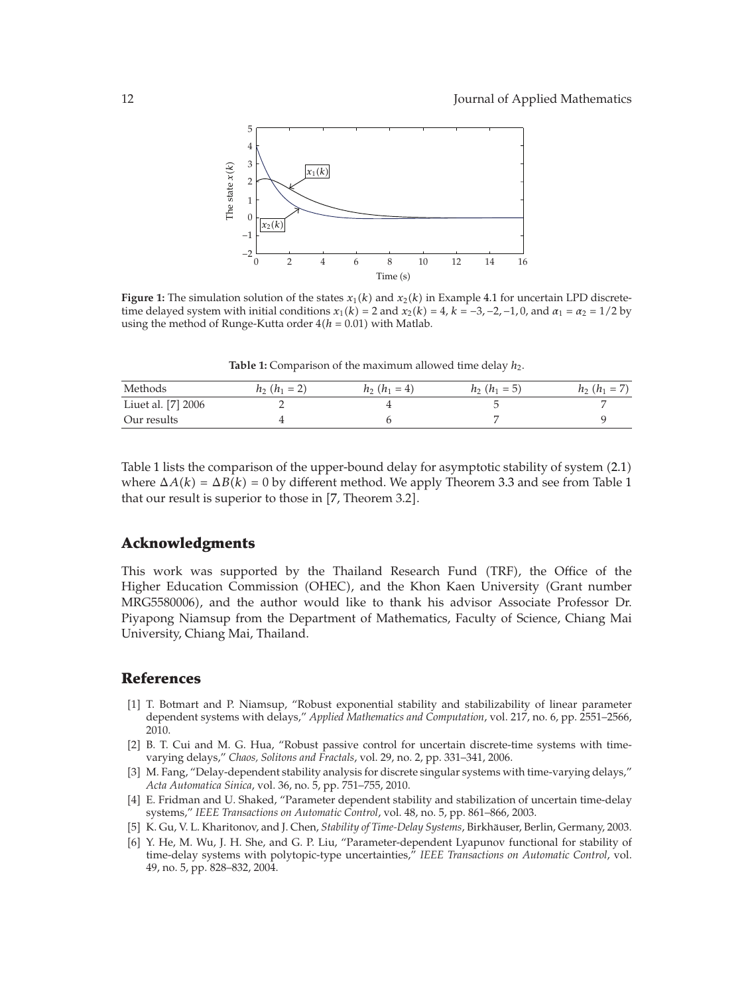

**Figure 1:** The simulation solution of the states  $x_1(k)$  and  $x_2(k)$  in Example 4.1 for uncertain LPD discrete-<br>time delayed system with initial conditions  $x_1(k) = 2$  and  $x_2(k) = 4$ ,  $k = -3$ ,  $-2$ ,  $-1$ , 0, and  $x_1 = x_2 =$ time delayed system with initial conditions  $x_1(k) = 2$  and  $x_2(k) = 4$ ,  $k = -3$ ,  $-2$ ,  $-1$ , 0, and  $\alpha_1 = \alpha_2 = 1/2$  by using the method of Runge-Kutta order  $4(h = 0.01)$  with Matlab.

Table 1: Comparison of the maximum allowed time delay  $h_2$ .

| Methods            | $h_2(h_1=2)$ | $h_2(h_1 = 4)$ | $h_2(h_1=5)$ | $h_2(h_1 = 7)$ |
|--------------------|--------------|----------------|--------------|----------------|
| Liuet al. [7] 2006 |              |                |              |                |
| Our results        |              |                |              |                |

Table 1 lists the comparison of the upper-bound delay for asymptotic stability of system (2.1) where  $\Delta A(k) = \Delta B(k) = 0$  by different method. We apply Theorem 3.3 and see from Table 1 that our result is superior to those in [7, Theorem 3.2].

### **Acknowledgments**

This work was supported by the Thailand Research Fund (TRF), the Office of the Higher Education Commission (OHEC), and the Khon Kaen University (Grant number MRG5580006, and the author would like to thank his advisor Associate Professor Dr. Piyapong Niamsup from the Department of Mathematics, Faculty of Science, Chiang Mai University, Chiang Mai, Thailand.

#### **References**

- 1 T. Botmart and P. Niamsup, "Robust exponential stability and stabilizability of linear parameter dependent systems with delays," *Applied Mathematics and Computation*, vol. 217, no. 6, pp. 2551–2566, 2010.
- [2] B. T. Cui and M. G. Hua, "Robust passive control for uncertain discrete-time systems with timevarying delays," *Chaos, Solitons and Fractals*, vol. 29, no. 2, pp. 331–341, 2006.
- 3 M. Fang, "Delay-dependent stability analysis for discrete singular systems with time-varying delays," *Acta Automatica Sinica*, vol. 36, no. 5, pp. 751–755, 2010.
- 4 E. Fridman and U. Shaked, "Parameter dependent stability and stabilization of uncertain time-delay systems," *IEEE Transactions on Automatic Control*, vol. 48, no. 5, pp. 861–866, 2003.
- 5 K. Gu, V. L. Kharitonov, and J. Chen, *Stability of Time-Delay Systems*, Birkhauser, Berlin, Germany, 2003. ¨
- [6] Y. He, M. Wu, J. H. She, and G. P. Liu, "Parameter-dependent Lyapunov functional for stability of time-delay systems with polytopic-type uncertainties," *IEEE Transactions on Automatic Control*, vol. 49, no. 5, pp. 828–832, 2004.